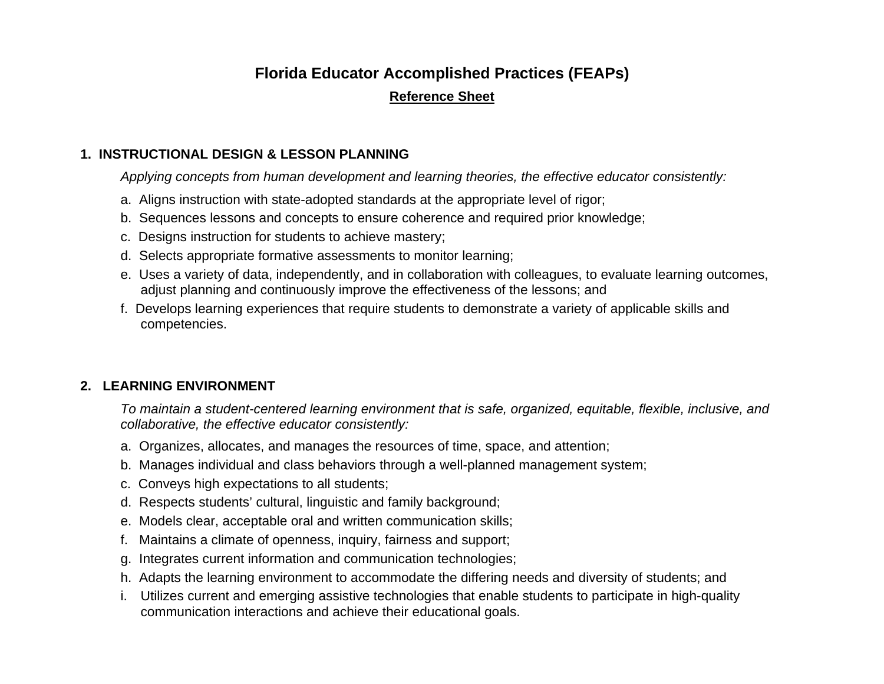# **Florida Educator Accomplished Practices (FEAPs)**

#### **Reference Sheet**

#### **1. INSTRUCTIONAL DESIGN & LESSON PLANNING**

*Applying concepts from human development and learning theories, the effective educator consistently:* 

- a. Aligns instruction with state-adopted standards at the appropriate level of rigor;
- b. Sequences lessons and concepts to ensure coherence and required prior knowledge;
- c. Designs instruction for students to achieve mastery;
- d. Selects appropriate formative assessments to monitor learning;
- e. Uses a variety of data, independently, and in collaboration with colleagues, to evaluate learning outcomes, adjust planning and continuously improve the effectiveness of the lessons; and
- f. Develops learning experiences that require students to demonstrate a variety of applicable skills and competencies.

## **2. LEARNING ENVIRONMENT**

*To maintain a student-centered learning environment that is safe, organized, equitable, flexible, inclusive, and collaborative, the effective educator consistently:* 

- a. Organizes, allocates, and manages the resources of time, space, and attention;
- b. Manages individual and class behaviors through a well-planned management system;
- c. Conveys high expectations to all students;
- d. Respects students' cultural, linguistic and family background;
- e. Models clear, acceptable oral and written communication skills;
- f. Maintains a climate of openness, inquiry, fairness and support;
- g. Integrates current information and communication technologies;
- h. Adapts the learning environment to accommodate the differing needs and diversity of students; and
- i. Utilizes current and emerging assistive technologies that enable students to participate in high-quality communication interactions and achieve their educational goals.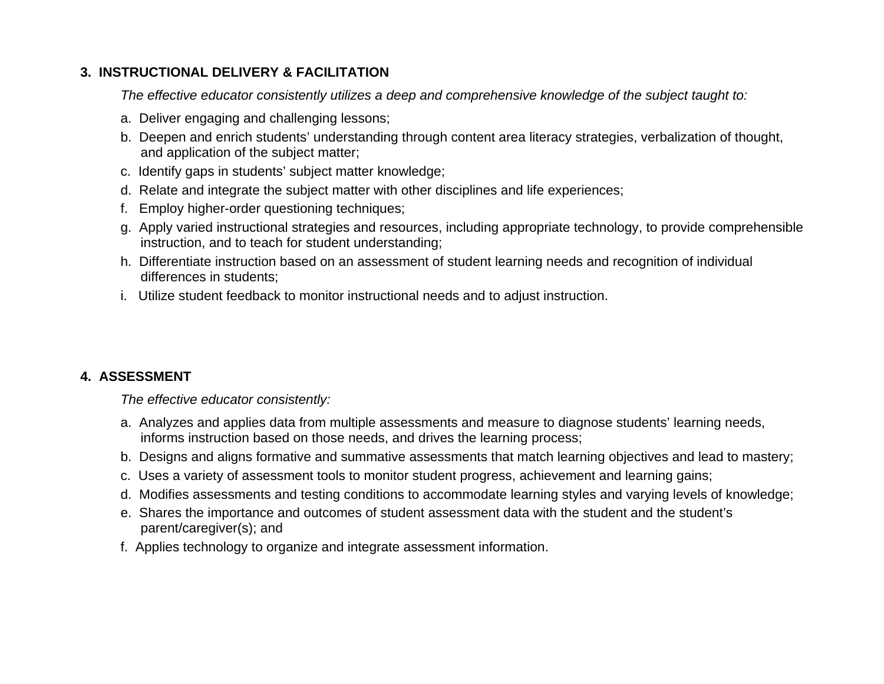## **3. INSTRUCTIONAL DELIVERY & FACILITATION**

*The effective educator consistently utilizes a deep and comprehensive knowledge of the subject taught to:* 

- a. Deliver engaging and challenging lessons;
- b. Deepen and enrich students' understanding through content area literacy strategies, verbalization of thought, and application of the subject matter;
- c. Identify gaps in students' subject matter knowledge;
- d. Relate and integrate the subject matter with other disciplines and life experiences;
- f. Employ higher-order questioning techniques;
- g. Apply varied instructional strategies and resources, including appropriate technology, to provide comprehensible instruction, and to teach for student understanding;
- h. Differentiate instruction based on an assessment of student learning needs and recognition of individual differences in students;
- i. Utilize student feedback to monitor instructional needs and to adjust instruction.

## **4. ASSESSMENT**

*The effective educator consistently:* 

- a. Analyzes and applies data from multiple assessments and measure to diagnose students' learning needs, informs instruction based on those needs, and drives the learning process;
- b. Designs and aligns formative and summative assessments that match learning objectives and lead to mastery;
- c. Uses a variety of assessment tools to monitor student progress, achievement and learning gains;
- d. Modifies assessments and testing conditions to accommodate learning styles and varying levels of knowledge;
- e. Shares the importance and outcomes of student assessment data with the student and the student's parent/caregiver(s); and
- f. Applies technology to organize and integrate assessment information.